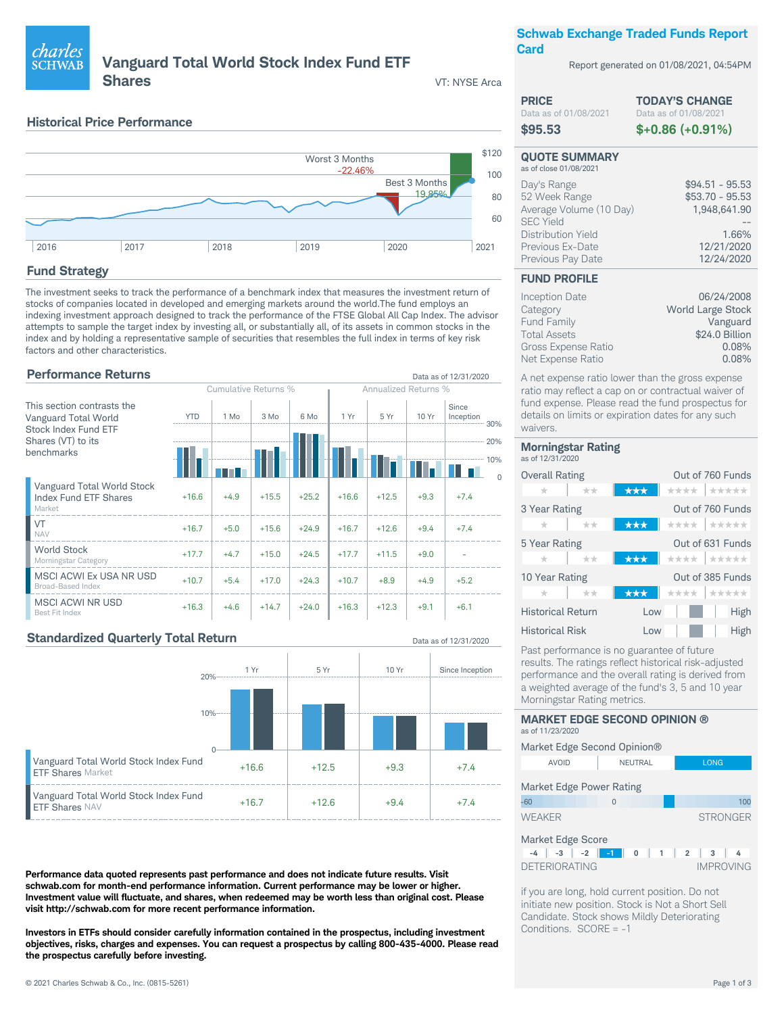

Report generated on 01/08/2021, 04:54PM

**TODAY'S CHANGE** 

 $$+0.86 (+0.91%)$ 

 $$94.51 - 95.53$ 

 $$53.70 - 95.53$ 

1,948,641.90

12/21/2020

12/24/2020

06/24/2008

Vanguard

 $0.08%$ 

0.08%

\$24.0 Billion

World Large Stock

1.66%

Data as of 01/08/2021

# **Vanguard Total World Stock Index Fund ETF**

**Shares** 

VT: NYSE Arca

Data as of 12/31/2020

Data as of 12/31/2020

**PRICE** 

\$95.53

Data as of 01/08/2021

**QUOTE SUMMARY** 

Average Volume (10 Day)

as of close 01/08/2021

52 Week Range

Previous Ex-Date

Previous Pay Date

**FUND PROFILE** 

Inception Date

Category

**Fund Family** 

**Total Assets** 

Gross Expense Ratio

Net Expense Ratio

Day's Range

**SEC Yield** Distribution Yield

### **Historical Price Performance**



## **Fund Strategy**

charles

**SCHWAB** 

The investment seeks to track the performance of a benchmark index that measures the investment return of stocks of companies located in developed and emerging markets around the world. The fund employs an indexing investment approach designed to track the performance of the FTSE Global All Cap Index. The advisor attempts to sample the target index by investing all, or substantially all, of its assets in common stocks in the index and by holding a representative sample of securities that resembles the full index in terms of key risk factors and other characteristics

## **Performance Returns**

|                                                               | Cumulative Returns % |        | <b>Annualized Returns %</b> |         |         |         |        |                                      |     |
|---------------------------------------------------------------|----------------------|--------|-----------------------------|---------|---------|---------|--------|--------------------------------------|-----|
| This section contrasts the<br>Vanguard Total World            | <b>YTD</b>           | 1 Mo   | $3$ Mo                      | 6 Mo    | 1 Yr    | 5 Yr    | 10 Yr  | Since<br>Inception                   | 30% |
| Stock Index Fund ETF<br>Shares (VT) to its<br>benchmarks      |                      |        |                             |         |         |         |        | -------------------------------- 20% | 10% |
| Vanguard Total World Stock<br>Index Fund ETF Shares<br>Market | $+16.6$              | $+4.9$ | $+15.5$                     | $+25.2$ | $+16.6$ | $+12.5$ | $+9.3$ | $+7.4$                               |     |
| VT<br><b>NAV</b>                                              | $+16.7$              | $+5.0$ | $+15.6$                     | $+24.9$ | $+16.7$ | $+12.6$ | $+9.4$ | $+7.4$                               |     |
| <b>World Stock</b><br>Morningstar Category                    | $+17.7$              | $+4.7$ | $+15.0$                     | $+24.5$ | $+17.7$ | $+11.5$ | $+9.0$ |                                      |     |
| MSCI ACWI Ex USA NR USD<br><b>Broad-Based Index</b>           | $+10.7$              | $+5.4$ | $+17.0$                     | $+24.3$ | $+10.7$ | $+8.9$  | $+4.9$ | $+5.2$                               |     |
| <b>MSCI ACWI NR USD</b><br>Best Fit Index                     | $+16.3$              | $+4.6$ | $+14.7$                     | $+24.0$ | $+16.3$ | $+12.3$ | $+9.1$ | $+6.1$                               |     |

### **Standardized Quarterly Total Return**



Performance data quoted represents past performance and does not indicate future results. Visit schwab.com for month-end performance information. Current performance may be lower or higher. Investment value will fluctuate, and shares, when redeemed may be worth less than original cost. Please visit http://schwab.com for more recent performance information.

Investors in ETFs should consider carefully information contained in the prospectus, including investment objectives, risks, charges and expenses. You can request a prospectus by calling 800-435-4000. Please read the prospectus carefully before investing.

#### fund expense. Please read the fund prospectus for details on limits or expiration dates for any such waivers **Morningstar Rating** as of 12/31/2020 Overall Rating Out of 760 Funds \*\*\* \*\*\*\*\* ÷  $+ + +$ Out of 760 Funds 3 Year Rating  $\star$ \*\*\*\* | \*\*\*\*\*  $-|x-1|$  $***$ Out of 631 Funds 5 Year Rating \*\*\*\* |\*\*\*\*\* ÷  $+ + +$  $-1$ Out of 385 Funds 10 Year Rating  $A + B + A + B$ strate مقاربتك مقاربتك **Historical Return**  $\overline{1}$  ow High **Historical Risk**  $\overline{1}$  ow High

A net expense ratio lower than the gross expense ratio may reflect a cap on or contractual waiver of

Past performance is no guarantee of future results. The ratings reflect historical risk-adjusted performance and the overall rating is derived from a weighted average of the fund's 3, 5 and 10 year Morningstar Rating metrics.

#### **MARKET EDGE SECOND OPINION ®** as of 11/23/2020 Market Edge Second Opinion®  $\triangle V$   $\cap$   $\cap$ **NELITRAL LONG** Market Edge Power Rating  $-60$  $\Omega$ WEAKER **STRONGER**



if you are long, hold current position. Do not initiate new position. Stock is Not a Short Sell Candidate. Stock shows Mildly Deteriorating Conditions. SCORE = -1

 $100$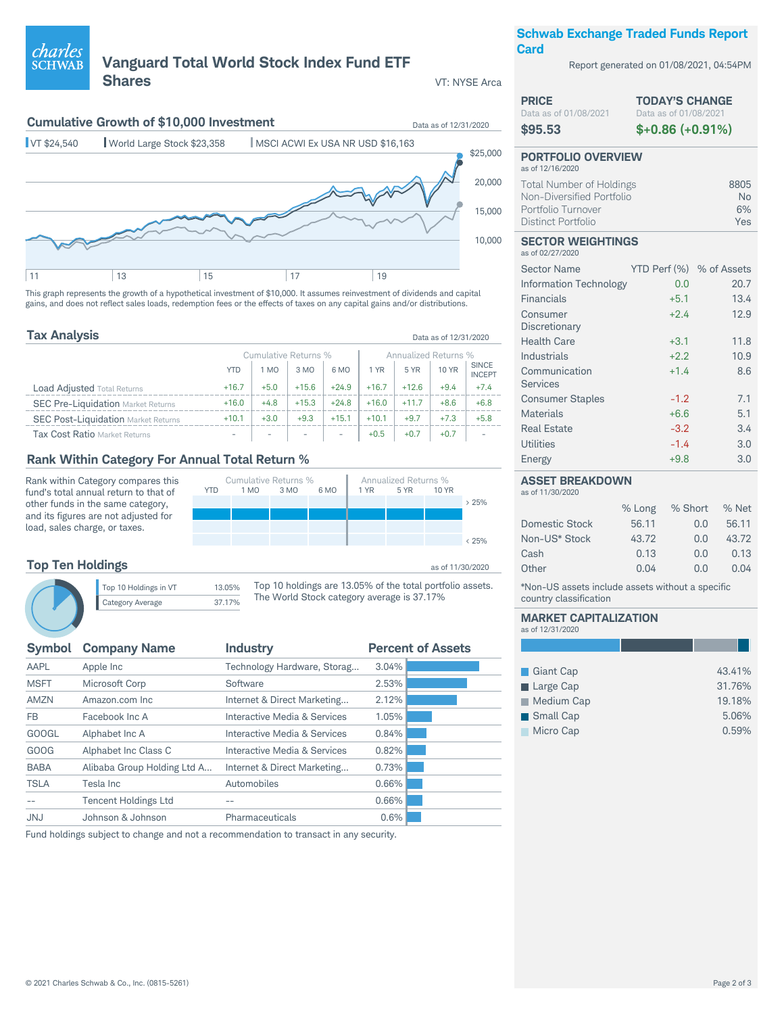## © 2021 Charles Schwab & Co., Inc. (0815-5261) Page 2 of 3

## **Tax Analysis** Data as of 12/31/2020

YTD 1 MO 3 MO 6 MO 1 YR 5 YR 10 YR

Cumulative Returns % <br>1 M0 3 M0 6 M0 1 YR 5 YR 10 YR

|                                            | Cumulative Returns %     |                          |         | Annualized Returns %     |         |         |              |                               |
|--------------------------------------------|--------------------------|--------------------------|---------|--------------------------|---------|---------|--------------|-------------------------------|
|                                            | YTD                      | 1 MO                     | 3 MO    | 6 MO                     | 1 YR    | 5 YR    | <b>10 YR</b> | <b>SINCE</b><br><b>INCEPT</b> |
| <b>Load Adjusted Total Returns</b>         | $+16.7$                  | $+5.0$                   | $+15.6$ | $+24.9$                  | $+16.7$ | $+12.6$ | $+9.4$       | $+7.4$                        |
| <b>SEC Pre-Liquidation Market Returns</b>  | $+16.0$                  | $+4.8$                   | $+15.3$ | $+24.8$                  | $+16.0$ | $+117$  | $+8.6$       | $+6.8$                        |
| <b>SEC Post-Liquidation Market Returns</b> | $+10.1$                  | $+3.0$                   | $+9.3$  | $+15.1$                  | $+10.1$ | $+97$   | $+7.3$       | $+5.8$                        |
| <b>Tax Cost Ratio Market Returns</b>       | $\overline{\phantom{a}}$ | $\overline{\phantom{0}}$ |         | $\overline{\phantom{a}}$ | $+0.5$  | $+0.7$  | $+0.7$       |                               |

This graph represents the growth of a hypothetical investment of \$10,000. It assumes reinvestment of dividends and capital gains, and does not reflect sales loads, redemption fees or the effects of taxes on any capital gains and/or distributions.

**Vanguard Total World Stock Index Fund ETF**

**Cumulative Growth of \$10,000 Investment** Details as of 12/31/2020

**Shares** VT: NYSE Arca

## **Rank Within Category For Annual Total Return %**

11 13 15 17 19

VT \$24,540 World Large Stock \$23,358 MSCI ACWI Ex USA NR USD \$16,163

Rank within Category compares this fund's total annual return to that of other funds in the same category, and its figures are not adjusted for load, sales charge, or taxes.

|                                                           | $0.25\%$         |
|-----------------------------------------------------------|------------------|
|                                                           |                  |
|                                                           |                  |
|                                                           | as of 11/30/2020 |
| Top 10 holdings are 13.05% of the total portfolio assets. |                  |

## **Top Ten Holdings**

*charles*<br>sCHWAB

Top 10 Holdings in VT 13.05% Category Average 37.17%

The World Stock category average is 37.17%

| <b>Symbol</b> | <b>Company Name</b>         | <b>Industry</b>              | <b>Percent of Assets</b> |
|---------------|-----------------------------|------------------------------|--------------------------|
| AAPL          | Apple Inc                   | Technology Hardware, Storag  | 3.04%                    |
| <b>MSFT</b>   | Microsoft Corp              | Software                     | 2.53%                    |
| <b>AMZN</b>   | Amazon.com Inc              | Internet & Direct Marketing  | 2.12%                    |
| FB.           | Facebook Inc A              | Interactive Media & Services | 1.05%                    |
| <b>GOOGL</b>  | Alphabet Inc A              | Interactive Media & Services | 0.84%                    |
| GOOG          | Alphabet Inc Class C        | Interactive Media & Services | 0.82%                    |
| <b>BABA</b>   | Alibaba Group Holding Ltd A | Internet & Direct Marketing  | 0.73%                    |
| <b>TSLA</b>   | Tesla Inc                   | Automobiles                  | 0.66%                    |
|               | <b>Tencent Holdings Ltd</b> |                              | 0.66%                    |
| <b>JNJ</b>    | Johnson & Johnson           | Pharmaceuticals              | 0.6%                     |
|               |                             |                              |                          |

Fund holdings subject to change and not a recommendation to transact in any security.

## **Schwab Exchange Traded Funds Report Card**

Report generated on 01/08/2021, 04:54PM

| <b>PRICE</b>          | <b>TODAY'S CHANGE</b> |
|-----------------------|-----------------------|
| Data as of 01/08/2021 | Data as of 01/08/2021 |
| \$95.53               | $$+0.86 (+0.91%)$     |

### **PORTFOLIO OVERVIEW** as of 12/16/2020 Total Number of Holdings 8805<br>Non-Diversified Portfolio **1996** Non-Diversified Portfolio **Non-American State Non-American State Non-American State Non-American State State State**<br>
6% Portfolio Turnover Distinct Portfolio Yes

#### **SECTOR WEIGHTINGS** as of 02/27/2020

10,000

> 25%

15,000

20,000

\$25,000

| <b>Sector Name</b>        | YTD Perf (%) % of Assets |      |
|---------------------------|--------------------------|------|
| Information Technology    | 0.0                      | 20.7 |
| Financials                | $+5.1$                   | 13.4 |
| Consumer<br>Discretionary | $+2.4$                   | 12.9 |
| <b>Health Care</b>        | $+3.1$                   | 11.8 |
| Industrials               | $+2.2$                   | 10.9 |
| Communication<br>Services | $+1.4$                   | 8.6  |
| <b>Consumer Staples</b>   | $-1.2$                   | 7.1  |
| Materials                 | $+6.6$                   | 5.1  |
| <b>Real Estate</b>        | $-3.2$                   | 3.4  |
| Utilities                 | $-1.4$                   | 3.0  |
| Energy                    | $+9.8$                   | 3.0  |

#### **ASSET BREAKDOWN**

as of 11/30/2020

|                       | % Long | % Short | % Net |
|-----------------------|--------|---------|-------|
|                       |        |         |       |
| <b>Domestic Stock</b> | 56.11  | 0.0     | 56.11 |
| Non-US* Stock         | 43.72  | 0.0     | 43.72 |
| Cash                  | 0.13   | 0.0     | 0.13  |
| Other                 | 0.04   | 0.0     | 0.04  |
|                       |        |         |       |

\*Non-US assets include assets without a specific country classification

#### **MARKET CAPITALIZATION** as of 12/31/2020

| Giant Cap         | 43.41% |
|-------------------|--------|
| Large Cap         | 31.76% |
| Medium Cap        | 19.18% |
| <b>S</b> mall Cap | 5.06%  |
| Micro Cap         | 0.59%  |